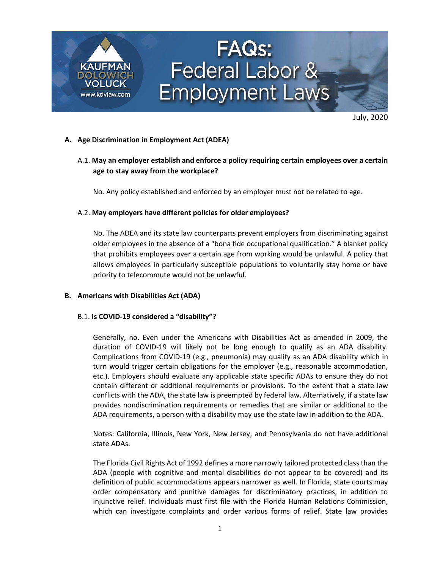

July, 2020

### **A. Age Discrimination in Employment Act (ADEA)**

## A.1. **May an employer establish and enforce a policy requiring certain employees over a certain age to stay away from the workplace?**

No. Any policy established and enforced by an employer must not be related to age.

#### A.2. **May employers have different policies for older employees?**

No. The ADEA and its state law counterparts prevent employers from discriminating against older employees in the absence of a "bona fide occupational qualification." A blanket policy that prohibits employees over a certain age from working would be unlawful. A policy that allows employees in particularly susceptible populations to voluntarily stay home or have priority to telecommute would not be unlawful.

#### **B. Americans with Disabilities Act (ADA)**

#### B.1. **Is COVID-19 considered a "disability"?**

Generally, no. Even under the Americans with Disabilities Act as amended in 2009, the duration of COVID-19 will likely not be long enough to qualify as an ADA disability. Complications from COVID-19 (e.g., pneumonia) may qualify as an ADA disability which in turn would trigger certain obligations for the employer (e.g., reasonable accommodation, etc.). Employers should evaluate any applicable state specific ADAs to ensure they do not contain different or additional requirements or provisions. To the extent that a state law conflicts with the ADA, the state law is preempted by federal law. Alternatively, if a state law provides nondiscrimination requirements or remedies that are similar or additional to the ADA requirements, a person with a disability may use the state law in addition to the ADA.

Notes: California, Illinois, New York, New Jersey, and Pennsylvania do not have additional state ADAs.

The Florida Civil Rights Act of 1992 defines a more narrowly tailored protected class than the ADA (people with cognitive and mental disabilities do not appear to be covered) and its definition of public accommodations appears narrower as well. In Florida, state courts may order compensatory and punitive damages for discriminatory practices, in addition to injunctive relief. Individuals must first file with the Florida Human Relations Commission, which can investigate complaints and order various forms of relief. State law provides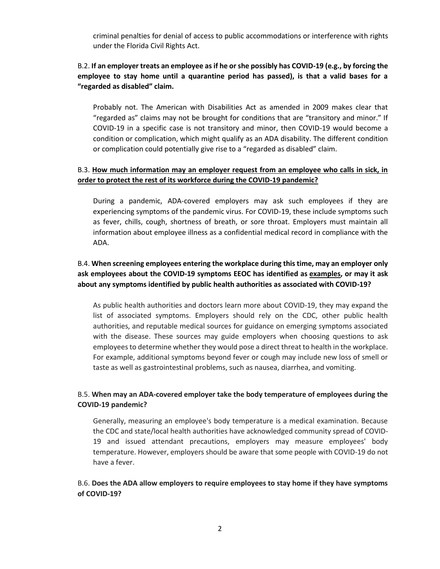criminal penalties for denial of access to public accommodations or interference with rights under the Florida Civil Rights Act.

## B.2. **If an employer treats an employee as if he or she possibly has COVID-19 (e.g., by forcing the employee to stay home until a quarantine period has passed), is that a valid bases for a "regarded as disabled" claim.**

Probably not. The American with Disabilities Act as amended in 2009 makes clear that "regarded as" claims may not be brought for conditions that are "transitory and minor." If COVID-19 in a specific case is not transitory and minor, then COVID-19 would become a condition or complication, which might qualify as an ADA disability. The different condition or complication could potentially give rise to a "regarded as disabled" claim.

## B.3. **[How much information may an employer request from an employee who calls in sick, in](https://www.eeoc.gov/laws/guidance/pandemic-preparedness-workplace-and-americans-disabilities-act#q6)  [order to protect the rest of its workforce during the COVID-19 pandemic?](https://www.eeoc.gov/laws/guidance/pandemic-preparedness-workplace-and-americans-disabilities-act#q6)**

During a pandemic, ADA-covered employers may ask such employees if they are experiencing symptoms of the pandemic virus. For COVID-19, these include symptoms such as fever, chills, cough, shortness of breath, or sore throat. Employers must maintain all information about employee illness as a confidential medical record in compliance with the ADA.

# B.4. **When screening employees entering the workplace during this time, may an employer only ask employees about the COVID-19 symptoms EEOC has identified as [examples,](https://www.eeoc.gov/transcript-march-27-2020-outreach-webinar#q1) or may it ask about any symptoms identified by public health authorities as associated with COVID-19?**

As public health authorities and doctors learn more about COVID-19, they may expand the list of associated symptoms. Employers should rely on the CDC, other public health authorities, and reputable medical sources for guidance on emerging symptoms associated with the disease. These sources may guide employers when choosing questions to ask employees to determine whether they would pose a direct threat to health in the workplace. For example, additional symptoms beyond fever or cough may include new loss of smell or taste as well as gastrointestinal problems, such as nausea, diarrhea, and vomiting.

## B.5. **When may an ADA-covered employer take the body temperature of employees during the COVID-19 pandemic?**

Generally, measuring an employee's body temperature is a medical examination. Because the CDC and state/local health authorities have acknowledged community spread of COVID-19 and issued attendant precautions, employers may measure employees' body temperature. However, employers should be aware that some people with COVID-19 do not have a fever.

## B.6. **Does the ADA allow employers to require employees to stay home if they have symptoms of COVID-19?**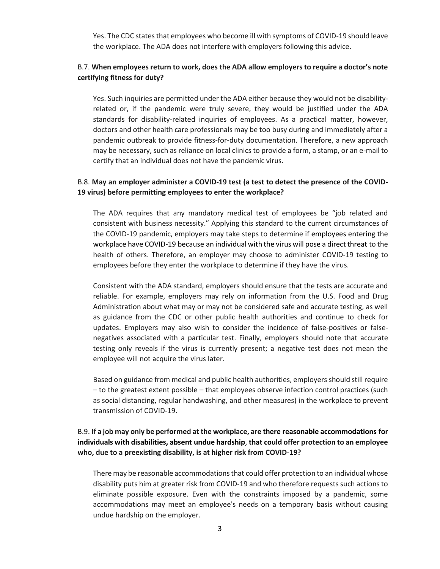Yes. The CDC states that employees who become ill with symptoms of COVID-19 should leave the workplace. The ADA does not interfere with employers following this advice.

## B.7. **When employees return to work, does the ADA allow employers to require a doctor's note certifying fitness for duty?**

Yes. Such inquiries are permitted under the ADA either because they would not be disabilityrelated or, if the pandemic were truly severe, they would be justified under the ADA standards for disability-related inquiries of employees. As a practical matter, however, doctors and other health care professionals may be too busy during and immediately after a pandemic outbreak to provide fitness-for-duty documentation. Therefore, a new approach may be necessary, such as reliance on local clinics to provide a form, a stamp, or an e-mail to certify that an individual does not have the pandemic virus.

## B.8. **May an employer administer a COVID-19 test (a test to detect the presence of the COVID-19 virus) before permitting employees to enter the workplace?**

The ADA requires that any mandatory medical test of employees be "job related and consistent with business necessity." Applying this standard to the current circumstances of the COVID-19 pandemic, employers may take steps to determine if [employees entering the](https://www.eeoc.gov/wysk/what-you-should-know-about-covid-19-and-ada-rehabilitation-act-and-other-eeo-laws#A.2)  [workplace have COVID-19](https://www.eeoc.gov/wysk/what-you-should-know-about-covid-19-and-ada-rehabilitation-act-and-other-eeo-laws#A.2) because [an individual with the virus will pose a direct threat](https://www.eeoc.gov/transcript-march-27-2020-outreach-webinar#q1) to the health of others. Therefore, an employer may choose to administer COVID-19 testing to employees before they enter the workplace to determine if they have the virus.

Consistent with the ADA standard, employers should ensure that the tests are accurate and reliable. For example, employers may rely on information from the U.S. Food and Drug Administration about what may or may not be considered safe and accurate testing, as well as guidance from the CDC or other public health authorities and continue to check for updates. Employers may also wish to consider the incidence of false-positives or falsenegatives associated with a particular test. Finally, employers should note that accurate testing only reveals if the virus is currently present; a negative test does not mean the employee will not acquire the virus later.

Based on guidance from medical and public health authorities, employers should still require – to the greatest extent possible – that employees observe infection control practices (such as social distancing, regular handwashing, and other measures) in the workplace to prevent transmission of COVID-19.

## B.9. **If a job may only be performed at the workplace, are there [reasonable accommodations](https://www.eeoc.gov/laws/guidance/enforcement-guidance-reasonable-accommodation-and-undue-hardship-under-ada#general) for individuals with disabilities, absent [undue hardship](https://www.eeoc.gov/laws/guidance/enforcement-guidance-reasonable-accommodation-and-undue-hardship-under-ada#undue)**, **that could offer protection to an employee who, due to a preexisting disability, is at higher risk from COVID-19?**

There may be reasonable accommodations that could offer protection to an individual whose disability puts him at greater risk from COVID-19 and who therefore requests such actions to eliminate possible exposure. Even with the constraints imposed by a pandemic, some accommodations may meet an employee's needs on a temporary basis without causing undue hardship on the employer.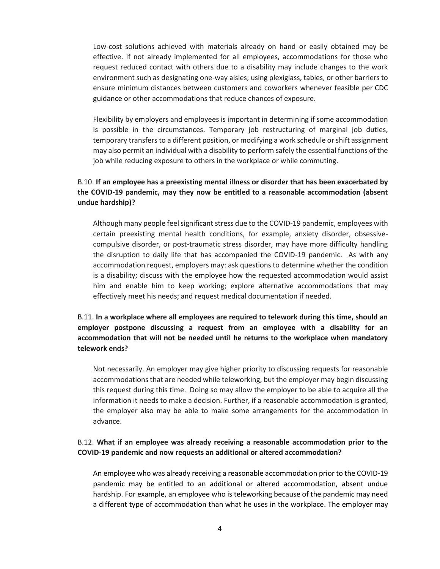Low-cost solutions achieved with materials already on hand or easily obtained may be effective. If not already implemented for all employees, accommodations for those who request reduced contact with others due to a disability may include changes to the work environment such as designating one-way aisles; using plexiglass, tables, or other barriers to ensure minimum distances between customers and coworkers whenever feasible per [CDC](https://www.cdc.gov/coronavirus/2019-ncov/community/index.html)  [guidance](https://www.cdc.gov/coronavirus/2019-ncov/community/index.html) or other accommodations that reduce chances of exposure.

Flexibility by employers and employees is important in determining if some accommodation is possible in the circumstances. Temporary job restructuring of marginal job duties, temporary transfers to a different position, or modifying a work schedule or shift assignment may also permit an individual with a disability to perform safely the essential functions of the job while reducing exposure to others in the workplace or while commuting.

# B.10. **If an employee has a preexisting mental illness or disorder that has been exacerbated by the COVID-19 pandemic, may they now be entitled to a reasonable accommodation (absent undue hardship)?**

Although many people feel significant stress due to the COVID-19 pandemic, employees with certain preexisting mental health conditions, for example, anxiety disorder, obsessivecompulsive disorder, or post-traumatic stress disorder, may have more difficulty handling the disruption to daily life that has accompanied the COVID-19 pandemic. As with any accommodation request, employers may: ask questions to determine whether the condition is a disability; discuss with the employee how the requested accommodation would assist him and enable him to keep working; explore alternative accommodations that may effectively meet his needs; and request medical documentation if needed.

# B.11. **In a workplace where all employees are required to telework during this time, should an employer postpone discussing a request from an employee with a disability for an accommodation that will not be needed until he returns to the workplace when mandatory telework ends?**

Not necessarily. An employer may give higher priority to discussing requests for reasonable accommodations that are needed while teleworking, but the employer may begin discussing this request during this time. Doing so may allow the employer to be able to acquire all the information it needs to make a decision. Further, if a reasonable accommodation is granted, the employer also may be able to make some arrangements for the accommodation in advance.

## B.12. **What if an employee was already receiving a reasonable accommodation prior to the COVID-19 pandemic and now requests an additional or altered accommodation?**

An employee who was already receiving a reasonable accommodation prior to the COVID-19 pandemic may be entitled to an additional or altered accommodation, absent undue hardship. For example, an employee who is teleworking because of the pandemic may need a different type of accommodation than what he [uses in the workplace.](https://www.eeoc.gov/transcript-march-27-2020-outreach-webinar#q20) The employer [may](https://www.eeoc.gov/laws/guidance/enforcement-guidance-reasonable-accommodation-and-undue-hardship-under-ada#requesting)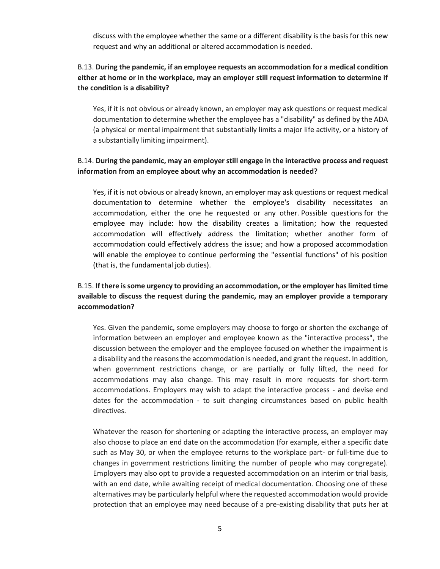[discuss](https://www.eeoc.gov/laws/guidance/enforcement-guidance-reasonable-accommodation-and-undue-hardship-under-ada#requesting) with the employee whether the same or a different disability is the basis for this new request and why an additional or altered accommodation is needed.

# B.13. **During the pandemic, if an employee requests an accommodation for a medical condition either at home or in the workplace, may an employer still request information to determine if the condition is a disability?**

Yes, if it is not obvious or already known, an employer may ask questions or request medical documentation to determine whether the employee has a "disability" as defined by the ADA (a physical or mental impairment that substantially limits a major life activity, or a history of a substantially limiting impairment).

## B.14. **During the pandemic, may an employer still engage in the interactive process and request information from an employee about why an accommodation is needed?**

Yes, if it is not obvious or already known, an employer may ask questions or request [medical](https://www.eeoc.gov/transcript-march-27-2020-outreach-webinar#q17) [documentation](https://www.eeoc.gov/transcript-march-27-2020-outreach-webinar#q17) to determine whether the employee's disability necessitates an accommodation, either the one he requested or any other. [Possible questions](https://www.eeoc.gov/laws/guidance/enforcement-guidance-reasonable-accommodation-and-undue-hardship-under-ada#requesting) for the employee may include: how the disability creates a limitation; how the requested accommodation will effectively address the limitation; whether another form of accommodation could effectively address the issue; and how a proposed accommodation will enable the employee to continue performing the "essential functions" of his position (that is, the fundamental job duties).

# B.15. **If there is some urgency to providing an accommodation, or the employer has limited time available to discuss the request during the pandemic, may an employer provide a temporary accommodation?**

Yes. Given the pandemic, some employers may choose to forgo or shorten the exchange of information between an employer and employee known as the "interactive process", the discussion between the employer and the employee focused on whether the impairment is a disability and the reasons the accommodation is needed, and grant the request. In addition, when government restrictions change, or are partially or fully lifted, the need for accommodations may also change. This may result in more requests for short-term accommodations. Employers may wish to adapt the interactive process - and devise end dates for the accommodation - to suit changing circumstances based on public health directives.

Whatever the reason for shortening or adapting the interactive process, an employer may also choose to place an end date on the accommodation (for example, either a specific date such as May 30, or when the employee returns to the workplace part- or full-time due to changes in government restrictions limiting the number of people who may congregate). Employers may also opt to provide a requested accommodation on an interim or trial basis, with an end date, while awaiting receipt of medical documentation. Choosing one of these alternatives may be particularly helpful where the requested accommodation would provide protection that an employee may need because of a pre-existing disability that puts her at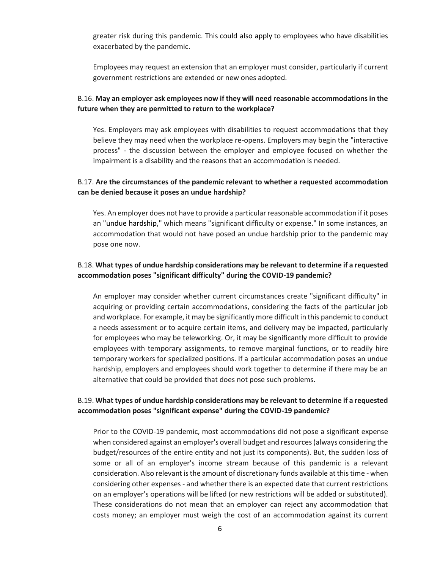greater risk during this pandemic. This [could also apply](https://www.eeoc.gov/wysk/what-you-should-know-about-covid-19-and-ada-rehabilitation-act-and-other-eeo-laws#D.2) to employees who have disabilities exacerbated by the pandemic.

Employees may request an extension that an employer must consider, particularly if current government restrictions are extended or new ones adopted.

## B.16. **May an employer ask employees now if they will need reasonable accommodations in the future when they are permitted to return to the workplace?**

Yes. Employers may ask employees with disabilities to request accommodations that they believe they may need when the workplace re-opens. Employers may begin the "interactive process" - the discussion between the employer and employee focused on whether the impairment is a disability and the reasons that an accommodation is needed.

## B.17. **Are the circumstances of the pandemic relevant to whether a requested accommodation can be denied because it poses an undue hardship?**

Yes. An employer does not have to provide a particular reasonable accommodation if it poses an ["undue hardship,](https://www.eeoc.gov/laws/guidance/enforcement-guidance-reasonable-accommodation-and-undue-hardship-under-ada#undue)" which means "significant difficulty or expense." In some instances, an accommodation that would not have posed an undue hardship prior to the pandemic may pose one now.

## B.18. **What types of undue hardship considerations may be relevant to determine if a requested accommodation poses "significant difficulty" during the COVID-19 pandemic?**

An employer may consider whether current circumstances create "significant difficulty" in acquiring or providing certain accommodations, considering the facts of the particular job and workplace. For example, it may be significantly more difficult in this pandemic to conduct a needs assessment or to acquire certain items, and delivery may be impacted, particularly for employees who may be teleworking. Or, it may be significantly more difficult to provide employees with temporary assignments, to remove marginal functions, or to readily hire temporary workers for specialized positions. If a particular accommodation poses an undue hardship, employers and employees should work together to determine if there may be an alternative that could be provided that does not pose such problems.

## B.19. **What types of undue hardship considerations may be relevant to determine if a requested accommodation poses "significant expense" during the COVID-19 pandemic?**

Prior to the COVID-19 pandemic, most accommodations did not pose a significant expense when considered against an employer's overall budget and resources (always considering the budget/resources of the entire entity and not just its components). But, the sudden loss of some or all of an employer's income stream because of this pandemic is a relevant consideration. Also relevant is the amount of discretionary funds available at this time - when considering other expenses - and whether there is an expected date that current restrictions on an employer's operations will be lifted (or new restrictions will be added or substituted). These considerations do not mean that an employer can reject any accommodation that costs money; an employer must weigh the cost of an accommodation against its current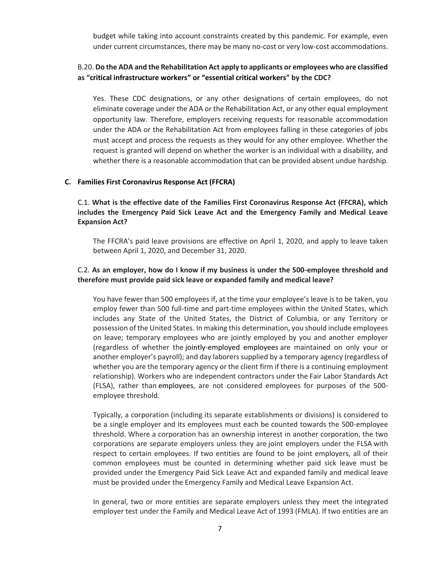budget while taking into account constraints created by this pandemic. For example, even under current circumstances, there may be many no-cost or very low-cost accommodations.

## B.20. **Do the ADA and the Rehabilitation Act apply to applicants or employees who are classified as "[critical infrastructure workers](https://www.cdc.gov/coronavirus/2019-ncov/downloads/Essential-Critical-Workers_Dos-and-Donts.pdf)" or "[essential critical workers](https://www.cdc.gov/coronavirus/2019-ncov/community/critical-workers/implementing-safety-practices.html)" by the CDC?**

Yes. These CDC designations, or any other designations of certain employees, do not eliminate coverage under the ADA or the Rehabilitation Act, or any other equal employment opportunity law. Therefore, employers receiving requests for reasonable accommodation under the ADA or the Rehabilitation Act from employees falling in these categories of jobs must accept and process the requests as they would for any other employee. Whether the request is granted will depend on whether the worker is an individual with a disability, and whether there is a reasonable accommodation that can be provided absent undue hardship.

#### **C. Families First Coronavirus Response Act (FFCRA)**

C.1. **What is the effective date of the Families First Coronavirus Response Act (FFCRA), which includes the Emergency Paid Sick Leave Act and the Emergency Family and Medical Leave Expansion Act?**

The FFCRA's paid leave provisions are effective on April 1, 2020, and apply to leave taken between April 1, 2020, and December 31, 2020.

### C.2. **As an employer, how do I know if my business is under the 500-employee threshold and therefore must provide paid sick leave or expanded family and medical leave?**

You have fewer than 500 employees if, at the time your employee's leave is to be taken, you employ fewer than 500 full-time and part-time employees within the United States, which includes any State of the United States, the District of Columbia, or any Territory or possession of the United States. In making this determination, you should include employees on leave; temporary employees who are jointly employed by you and another employer (regardless of whether the jointly-employed employees are maintained on only your or another employer's payroll); and day laborers supplied by a temporary agency (regardless of whether you are the temporary agency or the client firm if there is a continuing employment relationship). Workers who are independent contractors under the Fair Labor Standards Act (FLSA), rather than employees, are not considered employees for purposes of the 500 employee threshold.

Typically, a corporation (including its separate establishments or divisions) is considered to be a single employer and its employees must each be counted towards the 500-employee threshold. Where a corporation has an ownership interest in another corporation, the two corporations are separate employers unless they are joint employers under the FLSA with respect to certain employees. If two entities are found to be joint employers, all of their common employees must be counted in determining whether paid sick leave must be provided under the Emergency Paid Sick Leave Act and expanded family and medical leave must be provided under the Emergency Family and Medical Leave Expansion Act.

In general, two or more entities are separate employers unless they meet the integrated employer test under the Family and Medical Leave Act of 1993 (FMLA). If two entities are an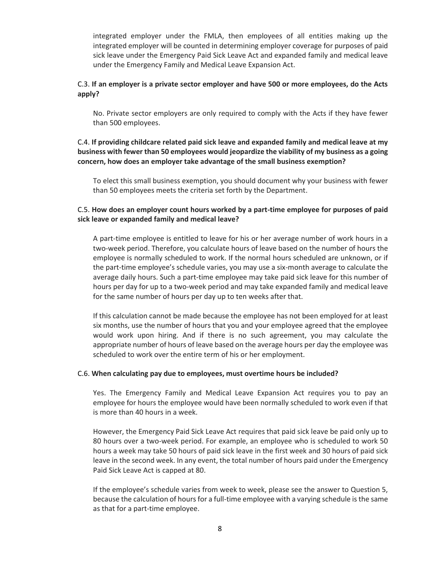integrated employer under the FMLA, then employees of all entities making up the integrated employer will be counted in determining employer coverage for purposes of paid sick leave under the Emergency Paid Sick Leave Act and expanded family and medical leave under the Emergency Family and Medical Leave Expansion Act.

### C.3. **If an employer is a private sector employer and have 500 or more employees, do the Acts apply?**

No. Private sector employers are only required to comply with the Acts if they have fewer than 500 employees.

C.4. **If providing childcare related paid sick leave and expanded family and medical leave at my business with fewer than 50 employees would jeopardize the viability of my business as a going concern, how does an employer take advantage of the small business exemption?**

To elect this small business exemption, you should document why your business with fewer than 50 employees meets the criteria set forth by the Department.

## C.5. **How does an employer count hours worked by a part-time employee for purposes of paid sick leave or expanded family and medical leave?**

A part-time employee is entitled to leave for his or her average number of work hours in a two-week period. Therefore, you calculate hours of leave based on the number of hours the employee is normally scheduled to work. If the normal hours scheduled are unknown, or if the part-time employee's schedule varies, you may use a six-month average to calculate the average daily hours. Such a part-time employee may take paid sick leave for this number of hours per day for up to a two-week period and may take expanded family and medical leave for the same number of hours per day up to ten weeks after that.

If this calculation cannot be made because the employee has not been employed for at least six months, use the number of hours that you and your employee agreed that the employee would work upon hiring. And if there is no such agreement, you may calculate the appropriate number of hours of leave based on the average hours per day the employee was scheduled to work over the entire term of his or her employment.

#### C.6. **When calculating pay due to employees, must overtime hours be included?**

Yes. The Emergency Family and Medical Leave Expansion Act requires you to pay an employee for hours the employee would have been normally scheduled to work even if that is more than 40 hours in a week.

However, the Emergency Paid Sick Leave Act requires that paid sick leave be paid only up to 80 hours over a two-week period. For example, an employee who is scheduled to work 50 hours a week may take 50 hours of paid sick leave in the first week and 30 hours of paid sick leave in the second week. In any event, the total number of hours paid under the Emergency Paid Sick Leave Act is capped at 80.

If the employee's schedule varies from week to week, please see the answer to Question 5, because the calculation of hours for a full-time employee with a varying schedule is the same as that for a part-time employee.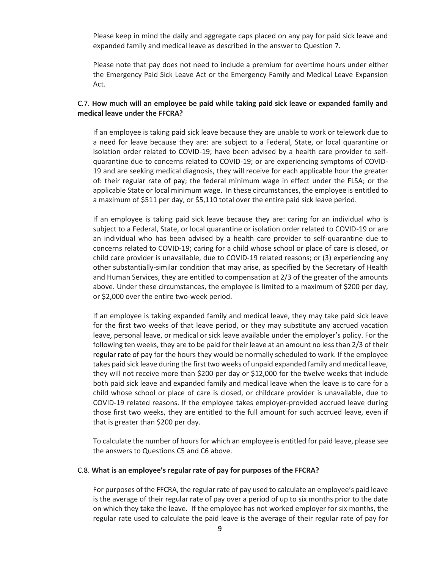Please keep in mind the daily and aggregate caps placed on any pay for paid sick leave and expanded family and medical leave as described in the answer to Question 7.

Please note that pay does not need to include a premium for overtime hours under either the Emergency Paid Sick Leave Act or the Emergency Family and Medical Leave Expansion Act.

### C.7. **How much will an employee be paid while taking paid sick leave or expanded family and medical leave under the FFCRA?**

If an employee is taking paid sick leave because they are unable to work or telework due to a need for leave because they are: are subject to a Federal, State, or local quarantine or isolation order related to COVID-19; have been advised by a health care provider to selfquarantine due to concerns related to COVID-19; or are experiencing symptoms of COVID-19 and are seeking medical diagnosis, they will receive for each applicable hour the greater of: their [regular rate of pay;](https://www.dol.gov/agencies/whd/fact-sheets/56a-regular-rate) the federal minimum wage in effect under the FLSA; or the applicable State or local minimum wage. In these circumstances, the employee is entitled to a maximum of \$511 per day, or \$5,110 total over the entire paid sick leave period.

If an employee is taking paid sick leave because they are: caring for an individual who is subject to a Federal, State, or local quarantine or isolation order related to COVID-19 or are an individual who has been advised by a health care provider to self-quarantine due to concerns related to COVID-19; caring for a child whose school or place of care is closed, or child care provider is unavailable, due to COVID-19 related reasons; or (3) experiencing any other substantially-similar condition that may arise, as specified by the Secretary of Health and Human Services, they are entitled to compensation at 2/3 of the greater of the amounts above. Under these circumstances, the employee is limited to a maximum of \$200 per day, or \$2,000 over the entire two-week period.

If an employee is taking expanded family and medical leave, they may take paid sick leave for the first two weeks of that leave period, or they may substitute any accrued vacation leave, personal leave, or medical or sick leave available under the employer's policy. For the following ten weeks, they are to be paid for their leave at an amount no less than 2/3 of their [regular rate of pay](https://www.dol.gov/agencies/whd/fact-sheets/56a-regular-rate) for the hours they would be normally scheduled to work. If the employee takes paid sick leave during the first two weeks of unpaid expanded family and medical leave, they will not receive more than \$200 per day or \$12,000 for the twelve weeks that include both paid sick leave and expanded family and medical leave when the leave is to care for a child whose school or place of care is closed, or childcare provider is unavailable, due to COVID-19 related reasons. If the employee takes employer-provided accrued leave during those first two weeks, they are entitled to the full amount for such accrued leave, even if that is greater than \$200 per day.

To calculate the number of hours for which an employee is entitled for paid leave, please see the answers to Questions C5 and C6 above.

#### C.8. **What is an employee's regular rate of pay for purposes of the FFCRA?**

For purposes of the FFCRA, the regular rate of pay used to calculate an employee's paid leave is the average of their regular rate of pay over a period of up to six months prior to the date on which they take the leave. If the employee has not worked employer for six months, the regular rate used to calculate the paid leave is the average of their regular rate of pay for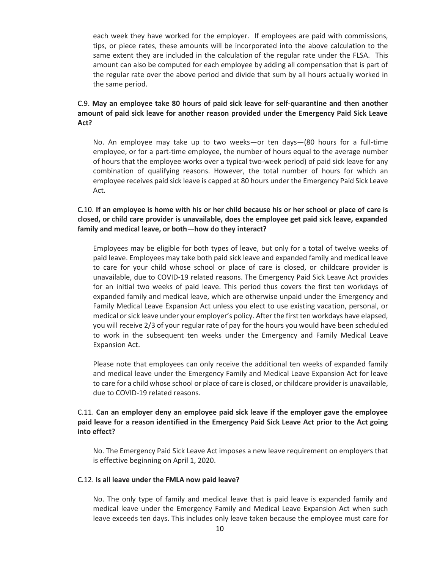each week they have worked for the employer. If employees are paid with commissions, tips, or piece rates, these amounts will be incorporated into the above calculation to the same extent they are included in the calculation of the regular rate under the FLSA. This amount can also be computed for each employee by adding all compensation that is part of the regular rate over the above period and divide that sum by all hours actually worked in the same period.

## C.9. **May an employee take 80 hours of paid sick leave for self-quarantine and then another amount of paid sick leave for another reason provided under the Emergency Paid Sick Leave Act?**

No. An employee may take up to two weeks—or ten days—(80 hours for a full-time employee, or for a part-time employee, the number of hours equal to the average number of hours that the employee works over a typical two-week period) of paid sick leave for any combination of qualifying reasons. However, the total number of hours for which an employee receives paid sick leave is capped at 80 hours under the Emergency Paid Sick Leave Act.

## C.10. **If an employee is home with his or her child because his or her school or place of care is closed, or child care provider is unavailable, does the employee get paid sick leave, expanded family and medical leave, or both—how do they interact?**

Employees may be eligible for both types of leave, but only for a total of twelve weeks of paid leave. Employees may take both paid sick leave and expanded family and medical leave to care for your child whose school or place of care is closed, or childcare provider is unavailable, due to COVID-19 related reasons. The Emergency Paid Sick Leave Act provides for an initial two weeks of paid leave. This period thus covers the first ten workdays of expanded family and medical leave, which are otherwise unpaid under the Emergency and Family Medical Leave Expansion Act unless you elect to use existing vacation, personal, or medical or sick leave under your employer's policy. After the first ten workdays have elapsed, you will receive 2/3 of your regular rate of pay for the hours you would have been scheduled to work in the subsequent ten weeks under the Emergency and Family Medical Leave Expansion Act.

Please note that employees can only receive the additional ten weeks of expanded family and medical leave under the Emergency Family and Medical Leave Expansion Act for leave to care for a child whose school or place of care is closed, or childcare provider is unavailable, due to COVID-19 related reasons.

### C.11. **Can an employer deny an employee paid sick leave if the employer gave the employee paid leave for a reason identified in the Emergency Paid Sick Leave Act prior to the Act going into effect?**

No. The Emergency Paid Sick Leave Act imposes a new leave requirement on employers that is effective beginning on April 1, 2020.

### C.12. **Is all leave under the FMLA now paid leave?**

No. The only type of family and medical leave that is paid leave is expanded family and medical leave under the Emergency Family and Medical Leave Expansion Act when such leave exceeds ten days. This includes only leave taken because the employee must care for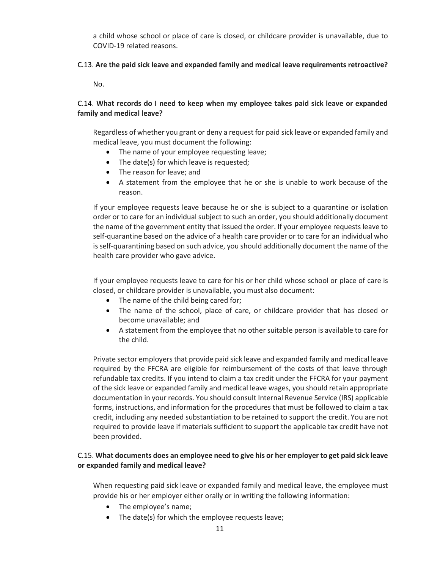a child whose school or place of care is closed, or childcare provider is unavailable, due to COVID-19 related reasons.

### C.13. **Are the paid sick leave and expanded family and medical leave requirements retroactive?**

No.

## C.14. **What records do I need to keep when my employee takes paid sick leave or expanded family and medical leave?**

Regardless of whether you grant or deny a request for paid sick leave or expanded family and medical leave, you must document the following:

- The name of your employee requesting leave;
- The date(s) for which leave is requested;
- The reason for leave; and
- A statement from the employee that he or she is unable to work because of the reason.

If your employee requests leave because he or she is subject to a quarantine or isolation order or to care for an individual subject to such an order, you should additionally document the name of the government entity that issued the order. If your employee requests leave to self-quarantine based on the advice of a health care provider or to care for an individual who is self-quarantining based on such advice, you should additionally document the name of the health care provider who gave advice.

If your employee requests leave to care for his or her child whose school or place of care is closed, or childcare provider is unavailable, you must also document:

- The name of the child being cared for;
- The name of the school, place of care, or childcare provider that has closed or become unavailable; and
- A statement from the employee that no other suitable person is available to care for the child.

Private sector employers that provide paid sick leave and expanded family and medical leave required by the FFCRA are eligible for reimbursement of the costs of that leave through refundable tax credits. If you intend to claim a tax credit under the FFCRA for your payment of the sick leave or expanded family and medical leave wages, you should retain appropriate documentation in your records. You should consult Internal Revenue Service (IRS) applicable forms, instructions, and information for the procedures that must be followed to claim a tax credit, including any needed substantiation to be retained to support the credit. You are not required to provide leave if materials sufficient to support the applicable tax credit have not been provided.

## C.15. **What documents does an employee need to give his or her employer to get paid sick leave or expanded family and medical leave?**

When requesting paid sick leave or expanded family and medical leave, the employee must provide his or her employer either orally or in writing the following information:

- The employee's name;
- The date(s) for which the employee requests leave;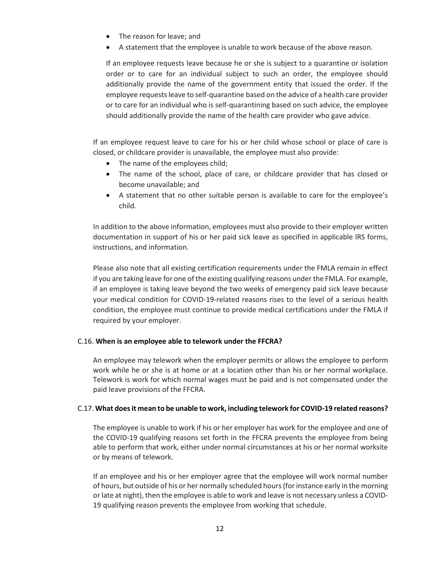- The reason for leave; and
- A statement that the employee is unable to work because of the above reason.

If an employee requests leave because he or she is subject to a quarantine or isolation order or to care for an individual subject to such an order, the employee should additionally provide the name of the government entity that issued the order. If the employee requests leave to self-quarantine based on the advice of a health care provider or to care for an individual who is self-quarantining based on such advice, the employee should additionally provide the name of the health care provider who gave advice.

If an employee request leave to care for his or her child whose school or place of care is closed, or childcare provider is unavailable, the employee must also provide:

- The name of the employees child;
- The name of the school, place of care, or childcare provider that has closed or become unavailable; and
- A statement that no other suitable person is available to care for the employee's child.

In addition to the above information, employees must also provide to their employer written documentation in support of his or her paid sick leave as specified in applicable IRS forms, instructions, and information.

Please also note that all existing certification requirements under the FMLA remain in effect if you are taking leave for one of the existing qualifying reasons under the FMLA. For example, if an employee is taking leave beyond the two weeks of emergency paid sick leave because your medical condition for COVID-19-related reasons rises to the level of a serious health condition, the employee must continue to provide medical certifications under the FMLA if required by your employer.

### C.16. **When is an employee able to telework under the FFCRA?**

An employee may telework when the employer permits or allows the employee to perform work while he or she is at home or at a location other than his or her normal workplace. Telework is work for which normal wages must be paid and is not compensated under the paid leave provisions of the FFCRA.

### C.17. **What does it mean to be unable to work, including telework for COVID-19 related reasons?**

The employee is unable to work if his or her employer has work for the employee and one of the COVID-19 qualifying reasons set forth in the FFCRA prevents the employee from being able to perform that work, either under normal circumstances at his or her normal worksite or by means of telework.

If an employee and his or her employer agree that the employee will work normal number of hours, but outside of his or her normally scheduled hours(for instance early in the morning or late at night), then the employee is able to work and leave is not necessary unless a COVID-19 qualifying reason prevents the employee from working that schedule.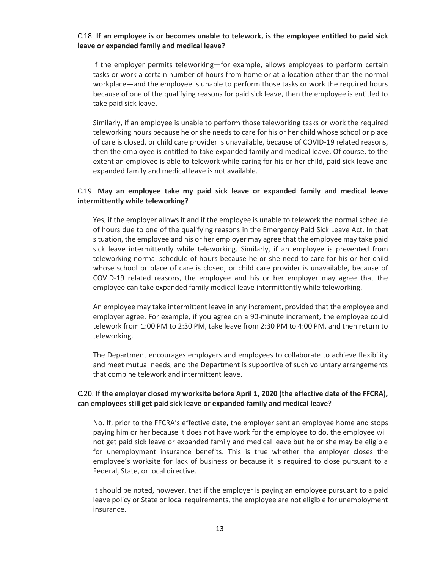#### C.18. **If an employee is or becomes unable to telework, is the employee entitled to paid sick leave or expanded family and medical leave?**

If the employer permits teleworking—for example, allows employees to perform certain tasks or work a certain number of hours from home or at a location other than the normal workplace—and the employee is unable to perform those tasks or work the required hours because of one of the qualifying reasons for paid sick leave, then the employee is entitled to take paid sick leave.

Similarly, if an employee is unable to perform those teleworking tasks or work the required teleworking hours because he or she needs to care for his or her child whose school or place of care is closed, or child care provider is unavailable, because of COVID-19 related reasons, then the employee is entitled to take expanded family and medical leave. Of course, to the extent an employee is able to telework while caring for his or her child, paid sick leave and expanded family and medical leave is not available.

### C.19. **May an employee take my paid sick leave or expanded family and medical leave intermittently while teleworking?**

Yes, if the employer allows it and if the employee is unable to telework the normal schedule of hours due to one of the qualifying reasons in the Emergency Paid Sick Leave Act. In that situation, the employee and his or her employer may agree that the employee may take paid sick leave intermittently while teleworking. Similarly, if an employee is prevented from teleworking normal schedule of hours because he or she need to care for his or her child whose school or place of care is closed, or child care provider is unavailable, because of COVID-19 related reasons, the employee and his or her employer may agree that the employee can take expanded family medical leave intermittently while teleworking.

An employee may take intermittent leave in any increment, provided that the employee and employer agree. For example, if you agree on a 90-minute increment, the employee could telework from 1:00 PM to 2:30 PM, take leave from 2:30 PM to 4:00 PM, and then return to teleworking.

The Department encourages employers and employees to collaborate to achieve flexibility and meet mutual needs, and the Department is supportive of such voluntary arrangements that combine telework and intermittent leave.

### C.20. **If the employer closed my worksite before April 1, 2020 (the effective date of the FFCRA), can employees still get paid sick leave or expanded family and medical leave?**

No. If, prior to the FFCRA's effective date, the employer sent an employee home and stops paying him or her because it does not have work for the employee to do, the employee will not get paid sick leave or expanded family and medical leave but he or she may be eligible for unemployment insurance benefits. This is true whether the employer closes the employee's worksite for lack of business or because it is required to close pursuant to a Federal, State, or local directive.

It should be noted, however, that if the employer is paying an employee pursuant to a paid leave policy or State or local requirements, the employee are not eligible for unemployment insurance.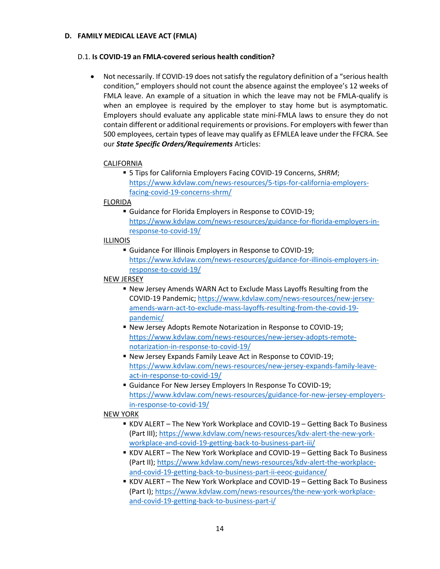#### **D. FAMILY MEDICAL LEAVE ACT (FMLA)**

#### D.1. **Is COVID-19 an FMLA-covered serious health condition?**

• Not necessarily. If COVID-19 does not satisfy the regulatory definition of a "serious health condition," employers should not count the absence against the employee's 12 weeks of FMLA leave. An example of a situation in which the leave may not be FMLA-qualify is when an employee is required by the employer to stay home but is asymptomatic. Employers should evaluate any applicable state mini-FMLA laws to ensure they do not contain different or additional requirements or provisions. For employers with fewer than 500 employees, certain types of leave may qualify as EFMLEA leave under the FFCRA. See our *State Specific Orders/Requirements* Articles:

### CALIFORNIA

▪ 5 Tips for California Employers Facing COVID-19 Concerns, *SHRM*; [https://www.kdvlaw.com/news-resources/5-tips-for-california-employers](https://www.kdvlaw.com/news-resources/5-tips-for-california-employers-facing-covid-19-concerns-shrm/)[facing-covid-19-concerns-shrm/](https://www.kdvlaw.com/news-resources/5-tips-for-california-employers-facing-covid-19-concerns-shrm/)

#### FLORIDA

▪ Guidance for Florida Employers in Response to COVID-19; [https://www.kdvlaw.com/news-resources/guidance-for-florida-employers-in](https://www.kdvlaw.com/news-resources/guidance-for-florida-employers-in-response-to-covid-19/)[response-to-covid-19/](https://www.kdvlaw.com/news-resources/guidance-for-florida-employers-in-response-to-covid-19/)

### ILLINOIS

**E** Guidance For Illinois Employers in Response to COVID-19; [https://www.kdvlaw.com/news-resources/guidance-for-illinois-employers-in](https://www.kdvlaw.com/news-resources/guidance-for-illinois-employers-in-response-to-covid-19/)[response-to-covid-19/](https://www.kdvlaw.com/news-resources/guidance-for-illinois-employers-in-response-to-covid-19/)

#### NEW JERSEY

- New Jersey Amends WARN Act to Exclude Mass Layoffs Resulting from the COVID-19 Pandemic; [https://www.kdvlaw.com/news-resources/new-jersey](https://www.kdvlaw.com/news-resources/new-jersey-amends-warn-act-to-exclude-mass-layoffs-resulting-from-the-covid-19-pandemic/)[amends-warn-act-to-exclude-mass-layoffs-resulting-from-the-covid-19](https://www.kdvlaw.com/news-resources/new-jersey-amends-warn-act-to-exclude-mass-layoffs-resulting-from-the-covid-19-pandemic/) [pandemic/](https://www.kdvlaw.com/news-resources/new-jersey-amends-warn-act-to-exclude-mass-layoffs-resulting-from-the-covid-19-pandemic/)
- New Jersey Adopts Remote Notarization in Response to COVID-19; [https://www.kdvlaw.com/news-resources/new-jersey-adopts-remote](https://www.kdvlaw.com/news-resources/new-jersey-adopts-remote-notarization-in-response-to-covid-19/)[notarization-in-response-to-covid-19/](https://www.kdvlaw.com/news-resources/new-jersey-adopts-remote-notarization-in-response-to-covid-19/)
- New Jersey Expands Family Leave Act in Response to COVID-19; [https://www.kdvlaw.com/news-resources/new-jersey-expands-family-leave](https://www.kdvlaw.com/news-resources/new-jersey-expands-family-leave-act-in-response-to-covid-19/)[act-in-response-to-covid-19/](https://www.kdvlaw.com/news-resources/new-jersey-expands-family-leave-act-in-response-to-covid-19/)
- **E** Guidance For New Jersey Employers In Response To COVID-19; [https://www.kdvlaw.com/news-resources/guidance-for-new-jersey-employers](https://www.kdvlaw.com/news-resources/guidance-for-new-jersey-employers-in-response-to-covid-19/)[in-response-to-covid-19/](https://www.kdvlaw.com/news-resources/guidance-for-new-jersey-employers-in-response-to-covid-19/)

### NEW YORK

- **EXECT The New York Workplace and COVID-19 Getting Back To Business** (Part III); [https://www.kdvlaw.com/news-resources/kdv-alert-the-new-york](https://www.kdvlaw.com/news-resources/kdv-alert-the-new-york-workplace-and-covid-19-getting-back-to-business-part-iii/)[workplace-and-covid-19-getting-back-to-business-part-iii/](https://www.kdvlaw.com/news-resources/kdv-alert-the-new-york-workplace-and-covid-19-getting-back-to-business-part-iii/)
- KDV ALERT The New York Workplace and COVID-19 Getting Back To Business (Part II)[; https://www.kdvlaw.com/news-resources/kdv-alert-the-workplace](https://www.kdvlaw.com/news-resources/kdv-alert-the-workplace-and-covid-19-getting-back-to-business-part-ii-eeoc-guidance/)[and-covid-19-getting-back-to-business-part-ii-eeoc-guidance/](https://www.kdvlaw.com/news-resources/kdv-alert-the-workplace-and-covid-19-getting-back-to-business-part-ii-eeoc-guidance/)
- **EXECT The New York Workplace and COVID-19 Getting Back To Business** (Part I); [https://www.kdvlaw.com/news-resources/the-new-york-workplace](https://www.kdvlaw.com/news-resources/the-new-york-workplace-and-covid-19-getting-back-to-business-part-i/)[and-covid-19-getting-back-to-business-part-i/](https://www.kdvlaw.com/news-resources/the-new-york-workplace-and-covid-19-getting-back-to-business-part-i/)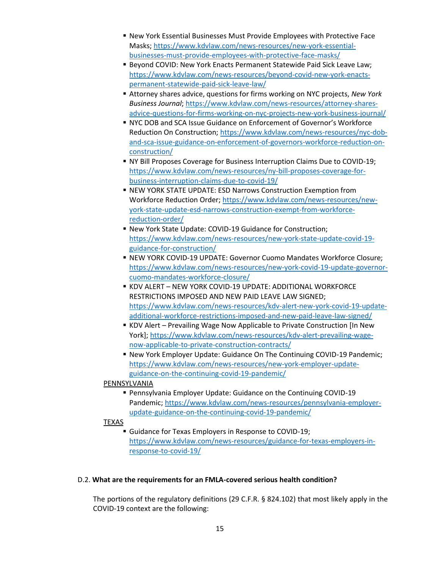- **New York Essential Businesses Must Provide Employees with Protective Face** Masks[; https://www.kdvlaw.com/news-resources/new-york-essential](https://www.kdvlaw.com/news-resources/new-york-essential-businesses-must-provide-employees-with-protective-face-masks/)[businesses-must-provide-employees-with-protective-face-masks/](https://www.kdvlaw.com/news-resources/new-york-essential-businesses-must-provide-employees-with-protective-face-masks/)
- Beyond COVID: New York Enacts Permanent Statewide Paid Sick Leave Law; [https://www.kdvlaw.com/news-resources/beyond-covid-new-york-enacts](https://www.kdvlaw.com/news-resources/beyond-covid-new-york-enacts-permanent-statewide-paid-sick-leave-law/)[permanent-statewide-paid-sick-leave-law/](https://www.kdvlaw.com/news-resources/beyond-covid-new-york-enacts-permanent-statewide-paid-sick-leave-law/)
- Attorney shares advice, questions for firms working on NYC projects, *New York Business Journal*; [https://www.kdvlaw.com/news-resources/attorney-shares](https://www.kdvlaw.com/news-resources/attorney-shares-advice-questions-for-firms-working-on-nyc-projects-new-york-business-journal/)[advice-questions-for-firms-working-on-nyc-projects-new-york-business-journal/](https://www.kdvlaw.com/news-resources/attorney-shares-advice-questions-for-firms-working-on-nyc-projects-new-york-business-journal/)
- NYC DOB and SCA Issue Guidance on Enforcement of Governor's Workforce Reduction On Construction; [https://www.kdvlaw.com/news-resources/nyc-dob](https://www.kdvlaw.com/news-resources/nyc-dob-and-sca-issue-guidance-on-enforcement-of-governors-workforce-reduction-on-construction/)[and-sca-issue-guidance-on-enforcement-of-governors-workforce-reduction-on](https://www.kdvlaw.com/news-resources/nyc-dob-and-sca-issue-guidance-on-enforcement-of-governors-workforce-reduction-on-construction/)[construction/](https://www.kdvlaw.com/news-resources/nyc-dob-and-sca-issue-guidance-on-enforcement-of-governors-workforce-reduction-on-construction/)
- NY Bill Proposes Coverage for Business Interruption Claims Due to COVID-19; [https://www.kdvlaw.com/news-resources/ny-bill-proposes-coverage-for](https://www.kdvlaw.com/news-resources/ny-bill-proposes-coverage-for-business-interruption-claims-due-to-covid-19/)[business-interruption-claims-due-to-covid-19/](https://www.kdvlaw.com/news-resources/ny-bill-proposes-coverage-for-business-interruption-claims-due-to-covid-19/)
- **EXECT AT A FIGHT IN STATE UPDATE: ESD Narrows Construction Exemption from** Workforce Reduction Order[; https://www.kdvlaw.com/news-resources/new](https://www.kdvlaw.com/news-resources/new-york-state-update-esd-narrows-construction-exempt-from-workforce-reduction-order/)[york-state-update-esd-narrows-construction-exempt-from-workforce](https://www.kdvlaw.com/news-resources/new-york-state-update-esd-narrows-construction-exempt-from-workforce-reduction-order/)[reduction-order/](https://www.kdvlaw.com/news-resources/new-york-state-update-esd-narrows-construction-exempt-from-workforce-reduction-order/)
- New York State Update: COVID-19 Guidance for Construction; [https://www.kdvlaw.com/news-resources/new-york-state-update-covid-19](https://www.kdvlaw.com/news-resources/new-york-state-update-covid-19-guidance-for-construction/) [guidance-for-construction/](https://www.kdvlaw.com/news-resources/new-york-state-update-covid-19-guidance-for-construction/)
- **EXEM YORK COVID-19 UPDATE: Governor Cuomo Mandates Workforce Closure;** [https://www.kdvlaw.com/news-resources/new-york-covid-19-update-governor](https://www.kdvlaw.com/news-resources/new-york-covid-19-update-governor-cuomo-mandates-workforce-closure/)[cuomo-mandates-workforce-closure/](https://www.kdvlaw.com/news-resources/new-york-covid-19-update-governor-cuomo-mandates-workforce-closure/)
- **. KDV ALERT NEW YORK COVID-19 UPDATE: ADDITIONAL WORKFORCE** RESTRICTIONS IMPOSED AND NEW PAID LEAVE LAW SIGNED; [https://www.kdvlaw.com/news-resources/kdv-alert-new-york-covid-19-update](https://www.kdvlaw.com/news-resources/kdv-alert-new-york-covid-19-update-additional-workforce-restrictions-imposed-and-new-paid-leave-law-signed/)[additional-workforce-restrictions-imposed-and-new-paid-leave-law-signed/](https://www.kdvlaw.com/news-resources/kdv-alert-new-york-covid-19-update-additional-workforce-restrictions-imposed-and-new-paid-leave-law-signed/)
- KDV Alert Prevailing Wage Now Applicable to Private Construction [In New York]; [https://www.kdvlaw.com/news-resources/kdv-alert-prevailing-wage](https://www.kdvlaw.com/news-resources/kdv-alert-prevailing-wage-now-applicable-to-private-construction-contracts/)[now-applicable-to-private-construction-contracts/](https://www.kdvlaw.com/news-resources/kdv-alert-prevailing-wage-now-applicable-to-private-construction-contracts/)
- New York Employer Update: Guidance On The Continuing COVID-19 Pandemic; [https://www.kdvlaw.com/news-resources/new-york-employer-update](https://www.kdvlaw.com/news-resources/new-york-employer-update-guidance-on-the-continuing-covid-19-pandemic/)[guidance-on-the-continuing-covid-19-pandemic/](https://www.kdvlaw.com/news-resources/new-york-employer-update-guidance-on-the-continuing-covid-19-pandemic/)

### **PENNSYLVANIA**

▪ Pennsylvania Employer Update: Guidance on the Continuing COVID-19 Pandemic[; https://www.kdvlaw.com/news-resources/pennsylvania-employer](https://www.kdvlaw.com/news-resources/pennsylvania-employer-update-guidance-on-the-continuing-covid-19-pandemic/)[update-guidance-on-the-continuing-covid-19-pandemic/](https://www.kdvlaw.com/news-resources/pennsylvania-employer-update-guidance-on-the-continuing-covid-19-pandemic/)

## TEXAS

▪ Guidance for Texas Employers in Response to COVID-19; [https://www.kdvlaw.com/news-resources/guidance-for-texas-employers-in](https://www.kdvlaw.com/news-resources/guidance-for-texas-employers-in-response-to-covid-19/)[response-to-covid-19/](https://www.kdvlaw.com/news-resources/guidance-for-texas-employers-in-response-to-covid-19/)

### D.2. **What are the requirements for an FMLA-covered serious health condition?**

The portions of the regulatory definitions (29 C.F.R. § 824.102) that most likely apply in the COVID-19 context are the following: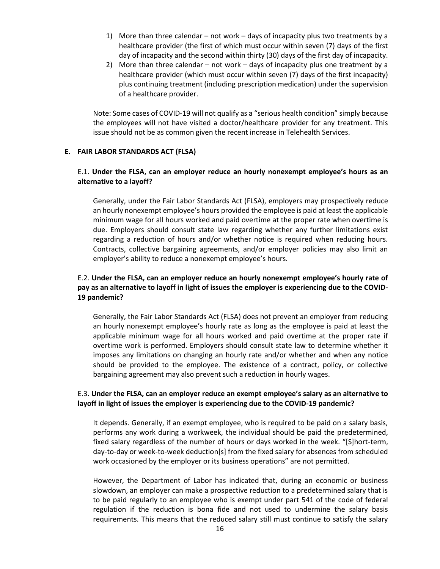- 1) More than three calendar not work days of incapacity plus two treatments by a healthcare provider (the first of which must occur within seven (7) days of the first day of incapacity and the second within thirty (30) days of the first day of incapacity.
- 2) More than three calendar not work days of incapacity plus one treatment by a healthcare provider (which must occur within seven (7) days of the first incapacity) plus continuing treatment (including prescription medication) under the supervision of a healthcare provider.

Note: Some cases of COVID-19 will not qualify as a "serious health condition" simply because the employees will not have visited a doctor/healthcare provider for any treatment. This issue should not be as common given the recent increase in Telehealth Services.

#### **E. FAIR LABOR STANDARDS ACT (FLSA)**

### E.1. **Under the FLSA, can an employer reduce an hourly nonexempt employee's hours as an alternative to a layoff?**

Generally, under the Fair Labor Standards Act (FLSA), employers may prospectively reduce an hourly nonexempt employee's hours provided the employee is paid at least the applicable minimum wage for all hours worked and paid overtime at the proper rate when overtime is due. Employers should consult state law regarding whether any further limitations exist regarding a reduction of hours and/or whether notice is required when reducing hours. Contracts, collective bargaining agreements, and/or employer policies may also limit an employer's ability to reduce a nonexempt employee's hours.

### E.2. **Under the FLSA, can an employer reduce an hourly nonexempt employee's hourly rate of pay as an alternative to layoff in light of issues the employer is experiencing due to the COVID-19 pandemic?**

Generally, the Fair Labor Standards Act (FLSA) does not prevent an employer from reducing an hourly nonexempt employee's hourly rate as long as the employee is paid at least the applicable minimum wage for all hours worked and paid overtime at the proper rate if overtime work is performed. Employers should consult state law to determine whether it imposes any limitations on changing an hourly rate and/or whether and when any notice should be provided to the employee. The existence of a contract, policy, or collective bargaining agreement may also prevent such a reduction in hourly wages.

### E.3. **Under the FLSA, can an employer reduce an exempt employee's salary as an alternative to layoff in light of issues the employer is experiencing due to the COVID-19 pandemic?**

It depends. Generally, if an exempt employee, who is required to be paid on a salary basis, performs any work during a workweek, the individual should be paid the predetermined, fixed salary regardless of the number of hours or days worked in the week. "[S]hort-term, day-to-day or week-to-week deduction[s] from the fixed salary for absences from scheduled work occasioned by the employer or its business operations" are not permitted.

However, the Department of Labor has indicated that, during an economic or business slowdown, an employer can make a prospective reduction to a predetermined salary that is to be paid regularly to an employee who is exempt under part 541 of the code of federal regulation if the reduction is bona fide and not used to undermine the salary basis requirements. This means that the reduced salary still must continue to satisfy the salary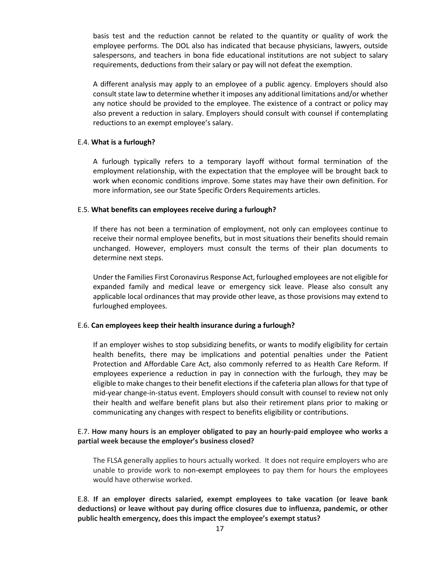basis test and the reduction cannot be related to the quantity or quality of work the employee performs. The DOL also has indicated that because physicians, lawyers, outside salespersons, and teachers in bona fide educational institutions are not subject to salary requirements, deductions from their salary or pay will not defeat the exemption.

A different analysis may apply to an employee of a public agency. Employers should also consult state law to determine whether it imposes any additional limitations and/or whether any notice should be provided to the employee. The existence of a contract or policy may also prevent a reduction in salary. Employers should consult with counsel if contemplating reductions to an exempt employee's salary.

#### E.4. **What is a furlough?**

A furlough typically refers to a temporary layoff without formal termination of the employment relationship, with the expectation that the employee will be brought back to work when economic conditions improve. Some states may have their own definition. For more information, see our State Specific Orders Requirements articles.

#### E.5. **What benefits can employees receive during a furlough?**

If there has not been a termination of employment, not only can employees continue to receive their normal employee benefits, but in most situations their benefits should remain unchanged. However, employers must consult the terms of their plan documents to determine next steps.

Under the Families First Coronavirus Response Act, furloughed employees are not eligible for expanded family and medical leave or emergency sick leave. Please also consult any applicable local ordinances that may provide other leave, as those provisions may extend to furloughed employees.

### E.6. **Can employees keep their health insurance during a furlough?**

If an employer wishes to stop subsidizing benefits, or wants to modify eligibility for certain health benefits, there may be implications and potential penalties under the Patient Protection and Affordable Care Act, also commonly referred to as Health Care Reform. If employees experience a reduction in pay in connection with the furlough, they may be eligible to make changes to their benefit elections if the cafeteria plan allows for that type of mid-year change-in-status event. Employers should consult with counsel to review not only their health and welfare benefit plans but also their retirement plans prior to making or communicating any changes with respect to benefits eligibility or contributions.

### E.7. **How many hours is an employer obligated to pay an hourly-paid employee who works a partial week because the employer's business closed?**

The FLSA generally applies to hours actually worked. It does not require employers who are unable to provide work to non-exempt employees to pay them for hours the employees would have otherwise worked.

E.8. **If an employer directs salaried, exempt employees to take vacation (or leave bank deductions) or leave without pay during office closures due to influenza, pandemic, or other public health emergency, does this impact the employee's exempt status?**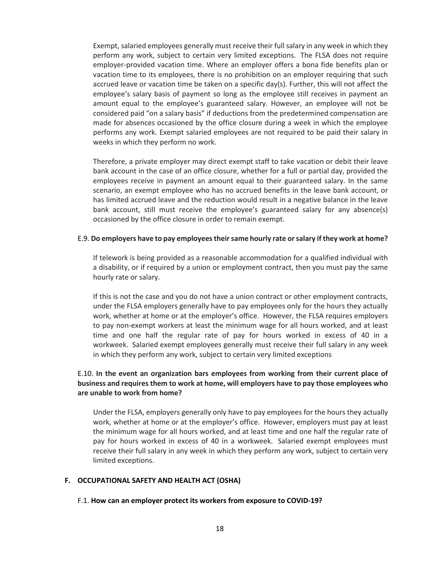Exempt, salaried employees generally must receive their full salary in any week in which they perform any work, subject to certain very limited exceptions. The FLSA does not require employer-provided vacation time. Where an employer offers a bona fide benefits plan or vacation time to its employees, there is no prohibition on an employer requiring that such accrued leave or vacation time be taken on a specific day(s). Further, this will not affect the employee's salary basis of payment so long as the employee still receives in payment an amount equal to the employee's guaranteed salary. However, an employee will not be considered paid "on a salary basis" if deductions from the predetermined compensation are made for absences occasioned by the office closure during a week in which the employee performs any work. Exempt salaried employees are not required to be paid their salary in weeks in which they perform no work.

Therefore, a private employer may direct exempt staff to take vacation or debit their leave bank account in the case of an office closure, whether for a full or partial day, provided the employees receive in payment an amount equal to their guaranteed salary. In the same scenario, an exempt employee who has no accrued benefits in the leave bank account, or has limited accrued leave and the reduction would result in a negative balance in the leave bank account, still must receive the employee's guaranteed salary for any absence(s) occasioned by the office closure in order to remain exempt.

#### E.9. **Do employers have to pay employees their same hourly rate or salary if they work at home?**

If telework is being provided as a reasonable accommodation for a qualified individual with a disability, or if required by a union or employment contract, then you must pay the same hourly rate or salary.

If this is not the case and you do not have a union contract or other employment contracts, under the FLSA employers generally have to pay employees only for the hours they actually work, whether at home or at the employer's office. However, the FLSA requires employers to pay non-exempt workers at least the minimum wage for all hours worked, and at least time and one half the regular rate of pay for hours worked in excess of 40 in a workweek. Salaried exempt employees generally must receive their full salary in any week in which they perform any work, subject to certain very limited exceptions

### E.10. **In the event an organization bars employees from working from their current place of business and requires them to work at home, will employers have to pay those employees who are unable to work from home?**

Under the FLSA, employers generally only have to pay employees for the hours they actually work, whether at home or at the employer's office. However, employers must pay at least the minimum wage for all hours worked, and at least time and one half the regular rate of pay for hours worked in excess of 40 in a workweek. Salaried exempt employees must receive their full salary in any week in which they perform any work, subject to certain very limited exceptions.

#### **F. OCCUPATIONAL SAFETY AND HEALTH ACT (OSHA)**

#### F.1. **How can an employer protect its workers from exposure to COVID-19?**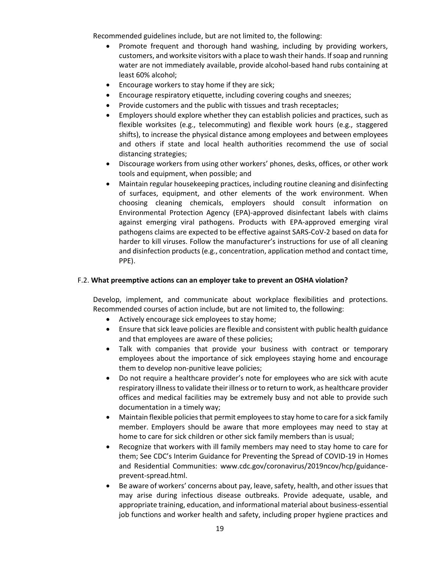Recommended guidelines include, but are not limited to, the following:

- Promote frequent and thorough hand washing, including by providing workers, customers, and worksite visitors with a place to wash their hands. If soap and running water are not immediately available, provide alcohol-based hand rubs containing at least 60% alcohol;
- Encourage workers to stay home if they are sick;
- Encourage respiratory etiquette, including covering coughs and sneezes;
- Provide customers and the public with tissues and trash receptacles;
- Employers should explore whether they can establish policies and practices, such as flexible worksites (e.g., telecommuting) and flexible work hours (e.g., staggered shifts), to increase the physical distance among employees and between employees and others if state and local health authorities recommend the use of social distancing strategies;
- Discourage workers from using other workers' phones, desks, offices, or other work tools and equipment, when possible; and
- Maintain regular housekeeping practices, including routine cleaning and disinfecting of surfaces, equipment, and other elements of the work environment. When choosing cleaning chemicals, employers should consult information on Environmental Protection Agency (EPA)-approved disinfectant labels with claims against emerging viral pathogens. Products with EPA-approved emerging viral pathogens claims are expected to be effective against SARS-CoV-2 based on data for harder to kill viruses. Follow the manufacturer's instructions for use of all cleaning and disinfection products (e.g., concentration, application method and contact time, PPE).

### F.2. **What preemptive actions can an employer take to prevent an OSHA violation?**

Develop, implement, and communicate about workplace flexibilities and protections. Recommended courses of action include, but are not limited to, the following:

- Actively encourage sick employees to stay home;
- Ensure that sick leave policies are flexible and consistent with public health guidance and that employees are aware of these policies;
- Talk with companies that provide your business with contract or temporary employees about the importance of sick employees staying home and encourage them to develop non-punitive leave policies;
- Do not require a healthcare provider's note for employees who are sick with acute respiratory illness to validate their illness or to return to work, as healthcare provider offices and medical facilities may be extremely busy and not able to provide such documentation in a timely way;
- Maintain flexible policies that permit employees to stay home to care for a sick family member. Employers should be aware that more employees may need to stay at home to care for sick children or other sick family members than is usual;
- Recognize that workers with ill family members may need to stay home to care for them; See CDC's Interim Guidance for Preventing the Spread of COVID-19 in Homes and Residential Communities: www.cdc.gov/coronavirus/2019ncov/hcp/guidanceprevent-spread.html.
- Be aware of workers' concerns about pay, leave, safety, health, and other issues that may arise during infectious disease outbreaks. Provide adequate, usable, and appropriate training, education, and informational material about business-essential job functions and worker health and safety, including proper hygiene practices and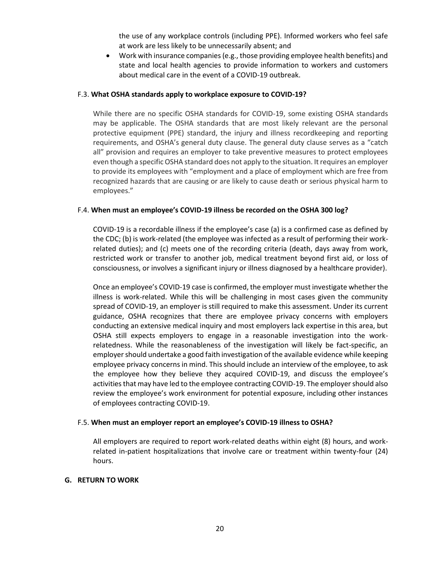the use of any workplace controls (including PPE). Informed workers who feel safe at work are less likely to be unnecessarily absent; and

• Work with insurance companies (e.g., those providing employee health benefits) and state and local health agencies to provide information to workers and customers about medical care in the event of a COVID-19 outbreak.

### F.3. **What OSHA standards apply to workplace exposure to COVID-19?**

While there are no specific OSHA standards for COVID-19, some existing OSHA standards may be applicable. The OSHA standards that are most likely relevant are the personal protective equipment (PPE) standard, the injury and illness recordkeeping and reporting requirements, and OSHA's general duty clause. The general duty clause serves as a "catch all" provision and requires an employer to take preventive measures to protect employees even though a specific OSHA standard does not apply to the situation. It requires an employer to provide its employees with "employment and a place of employment which are free from recognized hazards that are causing or are likely to cause death or serious physical harm to employees."

#### F.4. **When must an employee's COVID-19 illness be recorded on the OSHA 300 log?**

COVID-19 is a recordable illness if the employee's case (a) is a confirmed case as defined by the CDC; (b) is work-related (the employee was infected as a result of performing their workrelated duties); and (c) meets one of the recording criteria (death, days away from work, restricted work or transfer to another job, medical treatment beyond first aid, or loss of consciousness, or involves a significant injury or illness diagnosed by a healthcare provider).

Once an employee's COVID-19 case is confirmed, the employer must investigate whether the illness is work-related. While this will be challenging in most cases given the community spread of COVID-19, an employer is still required to make this assessment. Under its current guidance, OSHA recognizes that there are employee privacy concerns with employers conducting an extensive medical inquiry and most employers lack expertise in this area, but OSHA still expects employers to engage in a reasonable investigation into the workrelatedness. While the reasonableness of the investigation will likely be fact-specific, an employer should undertake a good faith investigation of the available evidence while keeping employee privacy concerns in mind. This should include an interview of the employee, to ask the employee how they believe they acquired COVID-19, and discuss the employee's activities that may have led to the employee contracting COVID-19. The employer should also review the employee's work environment for potential exposure, including other instances of employees contracting COVID-19.

### F.5. **When must an employer report an employee's COVID-19 illness to OSHA?**

All employers are required to report work-related deaths within eight (8) hours, and workrelated in-patient hospitalizations that involve care or treatment within twenty-four (24) hours.

#### **G. RETURN TO WORK**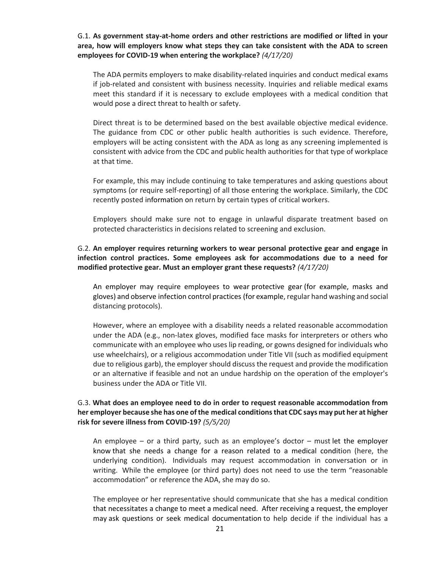G.1. **As government stay-at-home orders and other restrictions are modified or lifted in your area, how will employers know what steps they can take consistent with the ADA to screen employees for COVID-19 when entering the workplace?** *(4/17/20)*

The ADA permits employers to make disability-related inquiries and conduct medical exams if job-related and consistent with business necessity. Inquiries and reliable medical exams meet this standard if it is necessary to exclude employees with a medical condition that would pose a direct threat to health or safety.

Direct threat is to be determined based on the best available objective medical evidence. The guidance from CDC or other public health authorities is such evidence. Therefore, employers will be acting consistent with the ADA as long as any screening implemented is consistent with advice from the CDC and public health authorities for that type of workplace at that time.

For example, this may include continuing to take temperatures and asking questions about symptoms (or require self-reporting) of all those entering the workplace. Similarly, the CDC recently posted [information](https://www.cdc.gov/coronavirus/2019-ncov/community/critical-workers/implementing-safety-practices.html) on return by certain types of critical workers.

Employers should make sure not to engage in unlawful disparate treatment based on protected characteristics in decisions related to screening and exclusion.

### G.2. **An employer requires returning workers to wear personal protective gear and engage in infection control practices. Some employees ask for accommodations due to a need for modified protective gear. Must an employer grant these requests?** *(4/17/20)*

An employer may require employees to wear [protective gear](https://www.eeoc.gov/laws/guidance/pandemic-preparedness-workplace-and-americans-disabilities-act#q12) (for example, masks and gloves) and observe [infection control practices](https://www.eeoc.gov/laws/guidance/pandemic-preparedness-workplace-and-americans-disabilities-act#q11) (for example, regular hand washing and social distancing protocols).

However, where an employee with a disability needs a related reasonable accommodation under the ADA (e.g., non-latex gloves, modified face masks for interpreters or others who communicate with an employee who uses lip reading, or gowns designed for individuals who use wheelchairs), or a religious accommodation under Title VII (such as modified equipment due to religious garb), the employer should discuss the request and provide the modification or an alternative if feasible and not an undue hardship on the operation of the employer's business under the ADA or Title VII.

## G.3. **What does an employee need to do in order to request reasonable accommodation from her employer because she has one of the medical conditions that CDC says may put her at higher risk for severe illness from COVID-19?** *(5/5/20)*

An employee – or a third party, such as an employee's doctor – must [let the employer](https://www.eeoc.gov/laws/guidance/enforcement-guidance-reasonable-accommodation-and-undue-hardship-under-ada#requesting)  [know](https://www.eeoc.gov/laws/guidance/enforcement-guidance-reasonable-accommodation-and-undue-hardship-under-ada#requesting) that she needs a change for a reason related to a medical condition (here, the underlying condition). Individuals may request accommodation in conversation or in writing. While the employee (or third party) does not need to use the term "reasonable accommodation" or reference the ADA, she may do so.

The employee or her representative should communicate that she has a medical condition that necessitates a change to meet a medical need. After receiving a request, the employer may [ask questions or seek medical documentation](https://www.eeoc.gov/wysk/what-you-should-know-about-covid-19-and-ada-rehabilitation-act-and-other-eeo-laws#D.6) to help decide if the individual has a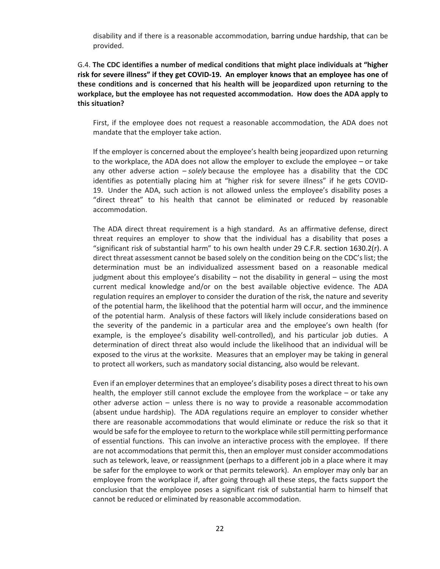disability and if there is a reasonable accommodation, barring [undue hardship,](https://www.eeoc.gov/wysk/what-you-should-know-about-covid-19-and-ada-rehabilitation-act-and-other-eeo-laws#D) that can be provided.

## G.4. **The CDC identifies a number of medical conditions that might place individuals at ["higher](https://www.cdc.gov/coronavirus/2019-ncov/need-extra-precautions/people-at-higher-risk.html)  [risk for severe illness"](https://www.cdc.gov/coronavirus/2019-ncov/need-extra-precautions/people-at-higher-risk.html) if they get COVID-19. An employer knows that an employee has one of these conditions and is concerned that his health will be jeopardized upon returning to the workplace, but the employee has not requested accommodation. How does the ADA apply to this situation?**

First, if the employee does not request a reasonable accommodation, the ADA does not mandate that the employer take action.

If the employer is concerned about the employee's health being jeopardized upon returning to the workplace, the ADA does not allow the employer to exclude the employee – or take any other adverse action – *solely* because the employee has a disability that the CDC identifies as potentially placing him at "higher risk for severe illness" if he gets COVID-19. Under the ADA, such action is not allowed unless the employee's disability poses a "direct threat" to his health that cannot be eliminated or reduced by reasonable accommodation.

The ADA direct threat requirement is a high standard. As an affirmative defense, direct threat requires an employer to show that the individual has a disability that poses a "significant risk of substantial harm" to his own health under [29 C.F.R. section 1630.2\(r\).](https://www.ecfr.gov/cgi-bin/text-idx?SID=28cadc4b7b37847fd37f41f8574b5921&mc=true&node=pt29.4.1630&rgn=div5#se29.4.1630_12) A direct threat assessment cannot be based solely on the condition being on the CDC's list; the determination must be an individualized assessment based on a reasonable medical judgment about this employee's disability – not the disability in general – using the most current medical knowledge and/or on the best available objective evidence. The ADA regulation requires an employer to consider the duration of the risk, the nature and severity of the potential harm, the likelihood that the potential harm will occur, and the imminence of the potential harm. Analysis of these factors will likely include considerations based on the severity of the pandemic in a particular area and the employee's own health (for example, is the employee's disability well-controlled), and his particular job duties. A determination of direct threat also would include the likelihood that an individual will be exposed to the virus at the worksite. Measures that an employer may be taking in general to protect all workers, such as mandatory social distancing, also would be relevant.

Even if an employer determines that an employee's disability poses a direct threat to his own health, the employer still cannot exclude the employee from the workplace – or take any other adverse action – unless there is no way to provide a reasonable accommodation (absent undue hardship). The ADA regulations require an employer to consider whether there are reasonable accommodations that would eliminate or reduce the risk so that it would be safe for the employee to return to the workplace while still permitting performance of essential functions. This can involve an interactive process with the employee. If there are not accommodations that permit this, then an employer must consider accommodations such as telework, leave, or reassignment (perhaps to a different job in a place where it may be safer for the employee to work or that permits telework). An employer may only bar an employee from the workplace if, after going through all these steps, the facts support the conclusion that the employee poses a significant risk of substantial harm to himself that cannot be reduced or eliminated by reasonable accommodation.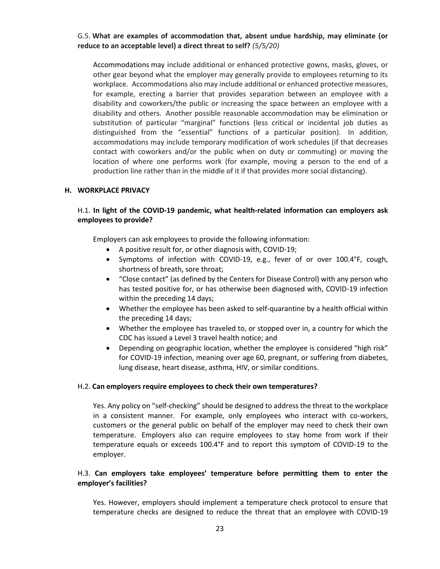### G.5. **What are examples of accommodation that, absent undue hardship, may eliminate (or reduce to an acceptable level) a direct threat to self?** *(5/5/20)*

[Accommodations](https://www.eeoc.gov/wysk/what-you-should-know-about-covid-19-and-ada-rehabilitation-act-and-other-eeo-laws#D.1) may include additional or enhanced protective gowns, masks, gloves, or other gear beyond what the employer may generally provide to employees returning to its workplace. Accommodations also may include additional or enhanced protective measures, for example, erecting a barrier that provides separation between an employee with a disability and coworkers/the public or increasing the space between an employee with a disability and others. Another possible reasonable accommodation may be elimination or substitution of particular "marginal" functions (less critical or incidental job duties as distinguished from the "essential" functions of a particular position). In addition, accommodations may include temporary modification of work schedules (if that decreases contact with coworkers and/or the public when on duty or commuting) or moving the location of where one performs work (for example, moving a person to the end of a production line rather than in the middle of it if that provides more social distancing).

### **H. WORKPLACE PRIVACY**

## H.1. **In light of the COVID-19 pandemic, what health-related information can employers ask employees to provide?**

Employers can ask employees to provide the following information:

- A positive result for, or other diagnosis with, COVID-19;
- Symptoms of infection with COVID-19, e.g., fever of or over 100.4°F, cough, shortness of breath, sore throat;
- "Close contact" (as defined by the Centers for Disease Control) with any person who has tested positive for, or has otherwise been diagnosed with, COVID-19 infection within the preceding 14 days;
- Whether the employee has been asked to self-quarantine by a health official within the preceding 14 days;
- Whether the employee has traveled to, or stopped over in, a country for which the CDC has issued a Level 3 travel health notice; and
- Depending on geographic location, whether the employee is considered "high risk" for COVID-19 infection, meaning over age 60, pregnant, or suffering from diabetes, lung disease, heart disease, asthma, HIV, or similar conditions.

#### H.2. **Can employers require employees to check their own temperatures?**

Yes. Any policy on "self-checking" should be designed to address the threat to the workplace in a consistent manner. For example, only employees who interact with co-workers, customers or the general public on behalf of the employer may need to check their own temperature. Employers also can require employees to stay home from work if their temperature equals or exceeds 100.4°F and to report this symptom of COVID-19 to the employer.

### H.3. **Can employers take employees' temperature before permitting them to enter the employer's facilities?**

Yes. However, employers should implement a temperature check protocol to ensure that temperature checks are designed to reduce the threat that an employee with COVID-19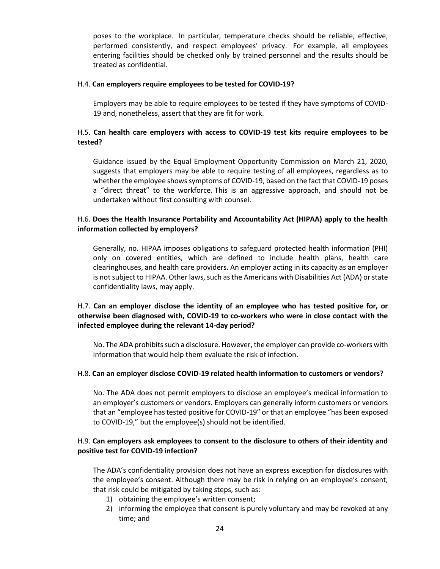poses to the workplace. In particular, temperature checks should be reliable, effective, performed consistently, and respect employees' privacy. For example, all employees entering facilities should be checked only by trained personnel and the results should be treated as confidential.

#### H.4. **Can employers require employees to be tested for COVID-19?**

Employers may be able to require employees to be tested if they have symptoms of COVID-19 and, nonetheless, assert that they are fit for work.

## H.5. **Can health care employers with access to COVID-19 test kits require employees to be tested?**

Guidance issued by the Equal Employment Opportunity Commission on March 21, 2020, suggests that employers may be able to require testing of all employees, regardless as to whether the employee shows symptoms of COVID-19, based on the fact that COVID-19 poses a "direct threat" to the workforce. This is an aggressive approach, and should not be undertaken without first consulting with counsel.

## H.6. **Does the Health Insurance Portability and Accountability Act (HIPAA) apply to the health information collected by employers?**

Generally, no. HIPAA imposes obligations to safeguard protected health information (PHI) only on covered entities, which are defined to include health plans, health care clearinghouses, and health care providers. An employer acting in its capacity as an employer is not subject to HIPAA. Other laws, such as the Americans with Disabilities Act (ADA) or state confidentiality laws, may apply.

## H.7. **Can an employer disclose the identity of an employee who has tested positive for, or otherwise been diagnosed with, COVID-19 to co-workers who were in close contact with the infected employee during the relevant 14-day period?**

No. The ADA prohibits such a disclosure. However, the employer can provide co-workers with information that would help them evaluate the risk of infection.

### H.8. **Can an employer disclose COVID-19 related health information to customers or vendors?**

No. The ADA does not permit employers to disclose an employee's medical information to an employer's customers or vendors. Employers can generally inform customers or vendors that an "employee has tested positive for COVID-19" or that an employee "has been exposed to COVID-19," but the employee(s) should not be identified.

## H.9. **Can employers ask employees to consent to the disclosure to others of their identity and positive test for COVID-19 infection?**

The ADA's confidentiality provision does not have an express exception for disclosures with the employee's consent. Although there may be risk in relying on an employee's consent, that risk could be mitigated by taking steps, such as:

- 1) obtaining the employee's written consent;
- 2) informing the employee that consent is purely voluntary and may be revoked at any time; and